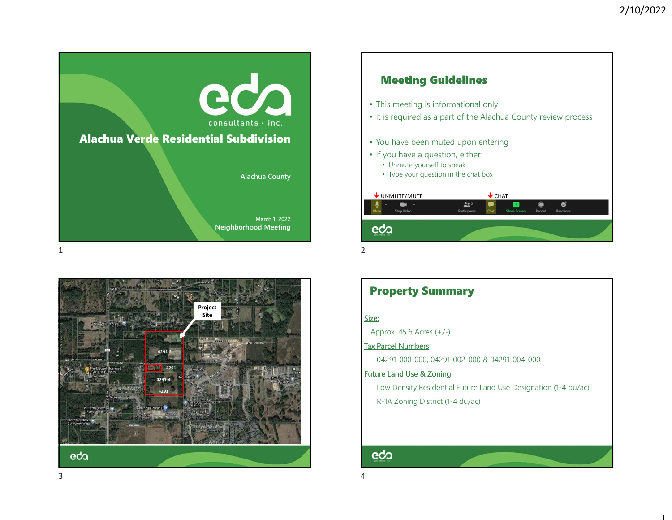





## Property Summary

#### <u>Size:</u>

Approx. 45.6 Acres (+/-)

### Tax Parcel Numbers:

04291-000-000, 04291-002-000 & 04291-004-000

#### Future Land Use & Zoning:

Low Density Residential Future Land Use Designation (1-4 du/ac) R-1A Zoning District (1-4 du/ac)

# eda

3